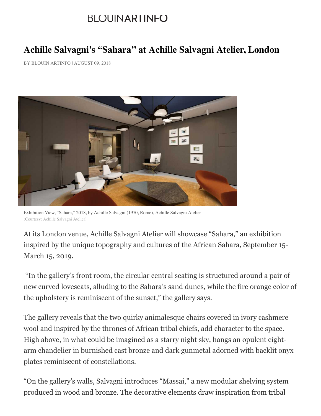## **BLOUINARTINFO**

## **Achille Salvagni's "Sahara" at Achille Salvagni Atelier, London**

BY BLOUIN ARTINFO | AUGUST 09, 2018



Exhibition View, "Sahara," 2018, by Achille Salvagni (1970, Rome), Achille Salvagni Atelier (Courtesy: Achille Salvagni Atelier)

At its London venue, Achille Salvagni Atelier will showcase "Sahara," an exhibition inspired by the unique topography and cultures of the African Sahara, September 15- March 15, 2019.

 "In the gallery's front room, the circular central seating is structured around a pair of new curved loveseats, alluding to the Sahara's sand dunes, while the fire orange color of the upholstery is reminiscent of the sunset," the gallery says.

The gallery reveals that the two quirky animalesque chairs covered in ivory cashmere wool and inspired by the thrones of African tribal chiefs, add character to the space. High above, in what could be imagined as a starry night sky, hangs an opulent eightarm chandelier in burnished cast bronze and dark gunmetal adorned with backlit onyx plates reminiscent of constellations.

"On the gallery's walls, Salvagni introduces "Massai," a new modular shelving system produced in wood and bronze. The decorative elements draw inspiration from tribal